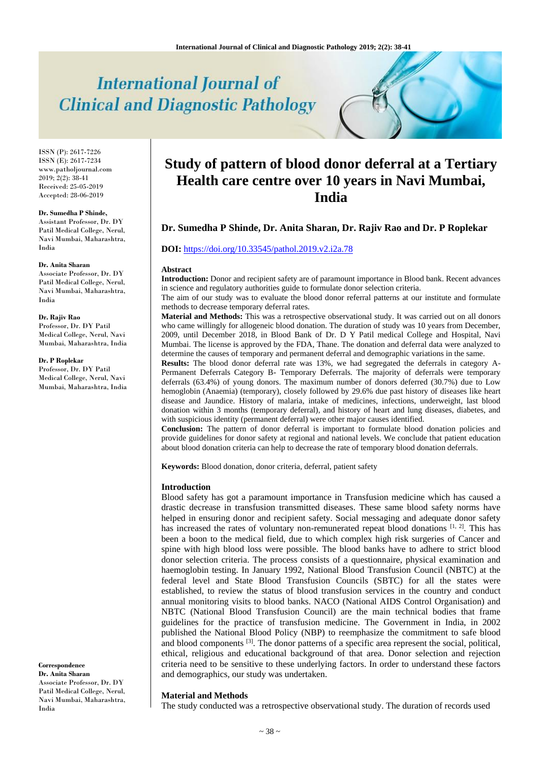# **International Journal of Clinical and Diagnostic Pathology**

ISSN (P): 2617-7226 ISSN (E): 2617-7234 www.patholjournal.com  $2019; 2(2): 38-41$ Received: 25-05-2019 Accepted: 28-06-2019

#### **Dr. Sumedha P Shinde,**

Assistant Professor, Dr. DY Patil Medical College, Nerul, Navi Mumbai, Maharashtra, India

#### **Dr. Anita Sharan**

Associate Professor, Dr. DY Patil Medical College, Nerul, Navi Mumbai, Maharashtra, India

**Dr. Rajiv Rao** Professor, Dr. DY Patil Medical College, Nerul, Navi Mumbai, Maharashtra, India

**Dr. P Roplekar**

Professor, Dr. DY Patil Medical College, Nerul, Navi Mumbai, Maharashtra, India

**Correspondence Dr. Anita Sharan**

Associate Professor, Dr. DY Patil Medical College, Nerul, Navi Mumbai, Maharashtra, India

# **Study of pattern of blood donor deferral at a Tertiary Health care centre over 10 years in Navi Mumbai, India**

# **Dr. Sumedha P Shinde, Dr. Anita Sharan, Dr. Rajiv Rao and Dr. P Roplekar**

### **DOI:** <https://doi.org/10.33545/pathol.2019.v2.i2a.78>

#### **Abstract**

**Introduction:** Donor and recipient safety are of paramount importance in Blood bank. Recent advances in science and regulatory authorities guide to formulate donor selection criteria.

The aim of our study was to evaluate the blood donor referral patterns at our institute and formulate methods to decrease temporary deferral rates.

**Material and Methods:** This was a retrospective observational study. It was carried out on all donors who came willingly for allogeneic blood donation. The duration of study was 10 years from December, 2009, until December 2018, in Blood Bank of Dr. D Y Patil medical College and Hospital, Navi Mumbai. The license is approved by the FDA, Thane. The donation and deferral data were analyzed to determine the causes of temporary and permanent deferral and demographic variations in the same.

**Results:** The blood donor deferral rate was 13%, we had segregated the deferrals in category A-Permanent Deferrals Category B- Temporary Deferrals. The majority of deferrals were temporary deferrals (63.4%) of young donors. The maximum number of donors deferred (30.7%) due to Low hemoglobin (Anaemia) (temporary), closely followed by 29.6% due past history of diseases like heart disease and Jaundice. History of malaria, intake of medicines, infections, underweight, last blood donation within 3 months (temporary deferral), and history of heart and lung diseases, diabetes, and with suspicious identity (permanent deferral) were other major causes identified.

**Conclusion:** The pattern of donor deferral is important to formulate blood donation policies and provide guidelines for donor safety at regional and national levels. We conclude that patient education about blood donation criteria can help to decrease the rate of temporary blood donation deferrals.

**Keywords:** Blood donation, donor criteria, deferral, patient safety

#### **Introduction**

Blood safety has got a paramount importance in Transfusion medicine which has caused a drastic decrease in transfusion transmitted diseases. These same blood safety norms have helped in ensuring donor and recipient safety. Social messaging and adequate donor safety has increased the rates of voluntary non-remunerated repeat blood donations [1, 2]. This has been a boon to the medical field, due to which complex high risk surgeries of Cancer and spine with high blood loss were possible. The blood banks have to adhere to strict blood donor selection criteria. The process consists of a questionnaire, physical examination and haemoglobin testing. In January 1992, National Blood Transfusion Council (NBTC) at the federal level and State Blood Transfusion Councils (SBTC) for all the states were established, to review the status of blood transfusion services in the country and conduct annual monitoring visits to blood banks. NACO (National AIDS Control Organisation) and NBTC (National Blood Transfusion Council) are the main technical bodies that frame guidelines for the practice of transfusion medicine. The Government in India, in 2002 published the National Blood Policy (NBP) to reemphasize the commitment to safe blood and blood components <sup>[3]</sup>. The donor patterns of a specific area represent the social, political, ethical, religious and educational background of that area. Donor selection and rejection criteria need to be sensitive to these underlying factors. In order to understand these factors and demographics, our study was undertaken.

## **Material and Methods**

The study conducted was a retrospective observational study. The duration of records used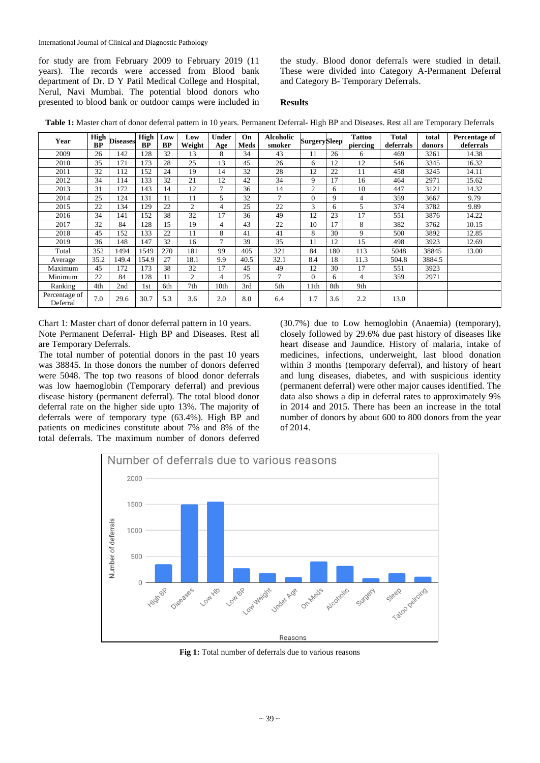for study are from February 2009 to February 2019 (11 years). The records were accessed from Blood bank department of Dr. D Y Patil Medical College and Hospital, Nerul, Navi Mumbai. The potential blood donors who presented to blood bank or outdoor camps were included in

the study. Blood donor deferrals were studied in detail. These were divided into Category A-Permanent Deferral and Category B- Temporary Deferrals.

# **Results**

**Table 1:** Master chart of donor deferral pattern in 10 years. Permanent Deferral- High BP and Diseases. Rest all are Temporary Deferrals

| Year                      | <b>High</b><br><b>BP</b> | <b>Diseases</b> | <b>High</b><br><b>BP</b> | Low<br><b>BP</b> | Low<br>Weight  | <b>Under</b><br>Age | On<br>Meds | <b>Alcoholic</b><br>smoker | <b>Surgery</b> Sleep |     | <b>Tattoo</b><br>piercing | <b>Total</b><br>deferrals | total<br>donors | Percentage of<br>deferrals |
|---------------------------|--------------------------|-----------------|--------------------------|------------------|----------------|---------------------|------------|----------------------------|----------------------|-----|---------------------------|---------------------------|-----------------|----------------------------|
| 2009                      | 26                       | 142             | 128                      | 32               | 13             | 8                   | 34         | 43                         | 11                   | 26  | 6                         | 469                       | 3261            | 14.38                      |
| 2010                      | 35                       | 171             | 173                      | 28               | 25             | 13                  | 45         | 26                         | 6                    | 12  | 12                        | 546                       | 3345            | 16.32                      |
| 2011                      | 32                       | 112             | 152                      | 24               | 19             | 14                  | 32         | 28                         | 12                   | 22  | 11                        | 458                       | 3245            | 14.11                      |
| 2012                      | 34                       | 114             | 133                      | 32               | 21             | 12                  | 42         | 34                         | 9                    | 17  | 16                        | 464                       | 2971            | 15.62                      |
| 2013                      | 31                       | 172             | 143                      | 14               | 12             | 7                   | 36         | 14                         | $\overline{2}$       | 6   | 10                        | 447                       | 3121            | 14.32                      |
| 2014                      | 25                       | 124             | 131                      | 11               | 11             | 5                   | 32         | 7                          | $\overline{0}$       | 9   | 4                         | 359                       | 3667            | 9.79                       |
| 2015                      | 22                       | 134             | 129                      | 22               | $\overline{2}$ | $\overline{4}$      | 25         | 22                         | 3                    | 6   | 5                         | 374                       | 3782            | 9.89                       |
| 2016                      | 34                       | 141             | 152                      | 38               | 32             | 17                  | 36         | 49                         | 12                   | 23  | 17                        | 551                       | 3876            | 14.22                      |
| 2017                      | 32                       | 84              | 128                      | 15               | 19             | 4                   | 43         | 22                         | 10                   | 17  | 8                         | 382                       | 3762            | 10.15                      |
| 2018                      | 45                       | 152             | 133                      | 22               | 11             | 8                   | 41         | 41                         | 8                    | 30  | 9                         | 500                       | 3892            | 12.85                      |
| 2019                      | 36                       | 148             | 147                      | 32               | 16             | $\mathcal{I}$       | 39         | 35                         | 11                   | 12  | 15                        | 498                       | 3923            | 12.69                      |
| Total                     | 352                      | 1494            | 1549                     | 270              | 181            | 99                  | 405        | 321                        | 84                   | 180 | 113                       | 5048                      | 38845           | 13.00                      |
| Average                   | 35.2                     | 149.4           | 154.9                    | 27               | 18.1           | 9.9                 | 40.5       | 32.1                       | 8.4                  | 18  | 11.3                      | 504.8                     | 3884.5          |                            |
| Maximum                   | 45                       | 172             | 173                      | 38               | 32             | 17                  | 45         | 49                         | 12                   | 30  | 17                        | 551                       | 3923            |                            |
| Minimum                   | 22                       | 84              | 128                      | 11               | 2              | $\overline{4}$      | 25         |                            | $\Omega$             | 6   | 4                         | 359                       | 2971            |                            |
| Ranking                   | 4th                      | 2nd             | 1st                      | 6th              | 7th            | 10th                | 3rd        | 5th                        | 11th                 | 8th | 9th                       |                           |                 |                            |
| Percentage of<br>Deferral | 7.0                      | 29.6            | 30.7                     | 5.3              | 3.6            | 2.0                 | 8.0        | 6.4                        | 1.7                  | 3.6 | 2.2                       | 13.0                      |                 |                            |

Chart 1: Master chart of donor deferral pattern in 10 years. Note Permanent Deferral- High BP and Diseases. Rest all are Temporary Deferrals.

The total number of potential donors in the past 10 years was 38845. In those donors the number of donors deferred were 5048. The top two reasons of blood donor deferrals was low haemoglobin (Temporary deferral) and previous disease history (permanent deferral). The total blood donor deferral rate on the higher side upto 13%. The majority of deferrals were of temporary type (63.4%). High BP and patients on medicines constitute about 7% and 8% of the total deferrals. The maximum number of donors deferred

(30.7%) due to Low hemoglobin (Anaemia) (temporary), closely followed by 29.6% due past history of diseases like heart disease and Jaundice. History of malaria, intake of medicines, infections, underweight, last blood donation within 3 months (temporary deferral), and history of heart and lung diseases, diabetes, and with suspicious identity (permanent deferral) were other major causes identified. The data also shows a dip in deferral rates to approximately 9% in 2014 and 2015. There has been an increase in the total number of donors by about 600 to 800 donors from the year of 2014.



**Fig 1:** Total number of deferrals due to various reasons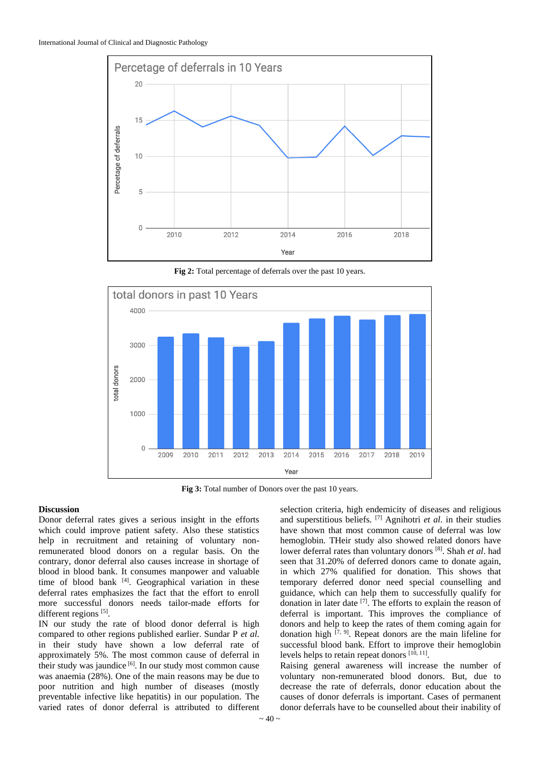

**Fig 2:** Total percentage of deferrals over the past 10 years.



**Fig 3:** Total number of Donors over the past 10 years.

# **Discussion**

Donor deferral rates gives a serious insight in the efforts which could improve patient safety. Also these statistics help in recruitment and retaining of voluntary nonremunerated blood donors on a regular basis. On the contrary, donor deferral also causes increase in shortage of blood in blood bank. It consumes manpower and valuable time of blood bank [4]. Geographical variation in these deferral rates emphasizes the fact that the effort to enroll more successful donors needs tailor-made efforts for different regions [5].

IN our study the rate of blood donor deferral is high compared to other regions published earlier. Sundar P *et al*. in their study have shown a low deferral rate of approximately 5%. The most common cause of deferral in their study was jaundice <sup>[6]</sup>. In our study most common cause was anaemia (28%). One of the main reasons may be due to poor nutrition and high number of diseases (mostly preventable infective like hepatitis) in our population. The varied rates of donor deferral is attributed to different

selection criteria, high endemicity of diseases and religious and superstitious beliefs. [7] Agnihotri *et al*. in their studies have shown that most common cause of deferral was low hemoglobin. THeir study also showed related donors have lower deferral rates than voluntary donors [8] . Shah *et al*. had seen that 31.20% of deferred donors came to donate again, in which 27% qualified for donation. This shows that temporary deferred donor need special counselling and guidance, which can help them to successfully qualify for donation in later date [7] . The efforts to explain the reason of deferral is important. This improves the compliance of donors and help to keep the rates of them coming again for donation high  $[7, 9]$ . Repeat donors are the main lifeline for successful blood bank. Effort to improve their hemoglobin levels helps to retain repeat donors [10, 11].

Raising general awareness will increase the number of voluntary non-remunerated blood donors. But, due to decrease the rate of deferrals, donor education about the causes of donor deferrals is important. Cases of permanent donor deferrals have to be counselled about their inability of